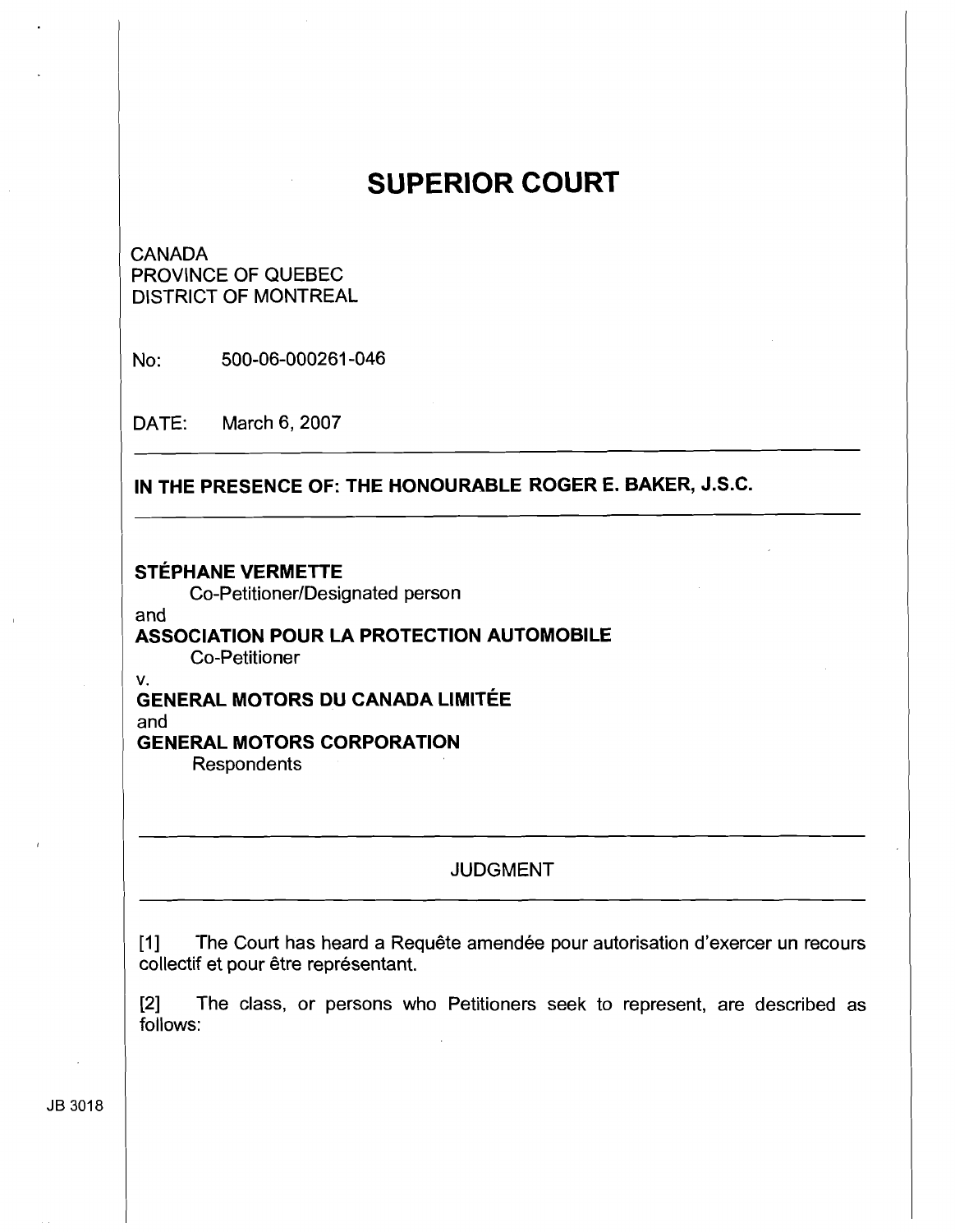# **SUPERIOR COURT**

# CANADA PROVINCE OF QUEBEC DISTRICT OF MONTREAL

NO: 500-06-000261 -046

DATE: March 6, 2007

**IN THE PRESENCE OF: THE HONOURABLE ROGER E. BAKER, J.S.C.** 

# **STEPHANE VERMETTE**

Co-Petitioner/Designated person

#### and

#### **ASSOCIATION POUR LA PROTECTION AUTOMOBILE**  Co-Petitioner

v.

## **GENERAL MOTORS DU CANADA LIMITEE**  and **GENERAL MOTORS CORPORATION**

**Respondents** 

# JUDGMENT

[1] The Court has heard a Requête amendée pour autorisation d'exercer un recours collectif et pour être représentant.

**[2]** The class, or persons who Petitioners seek to represent, are described as follows:

JB 3018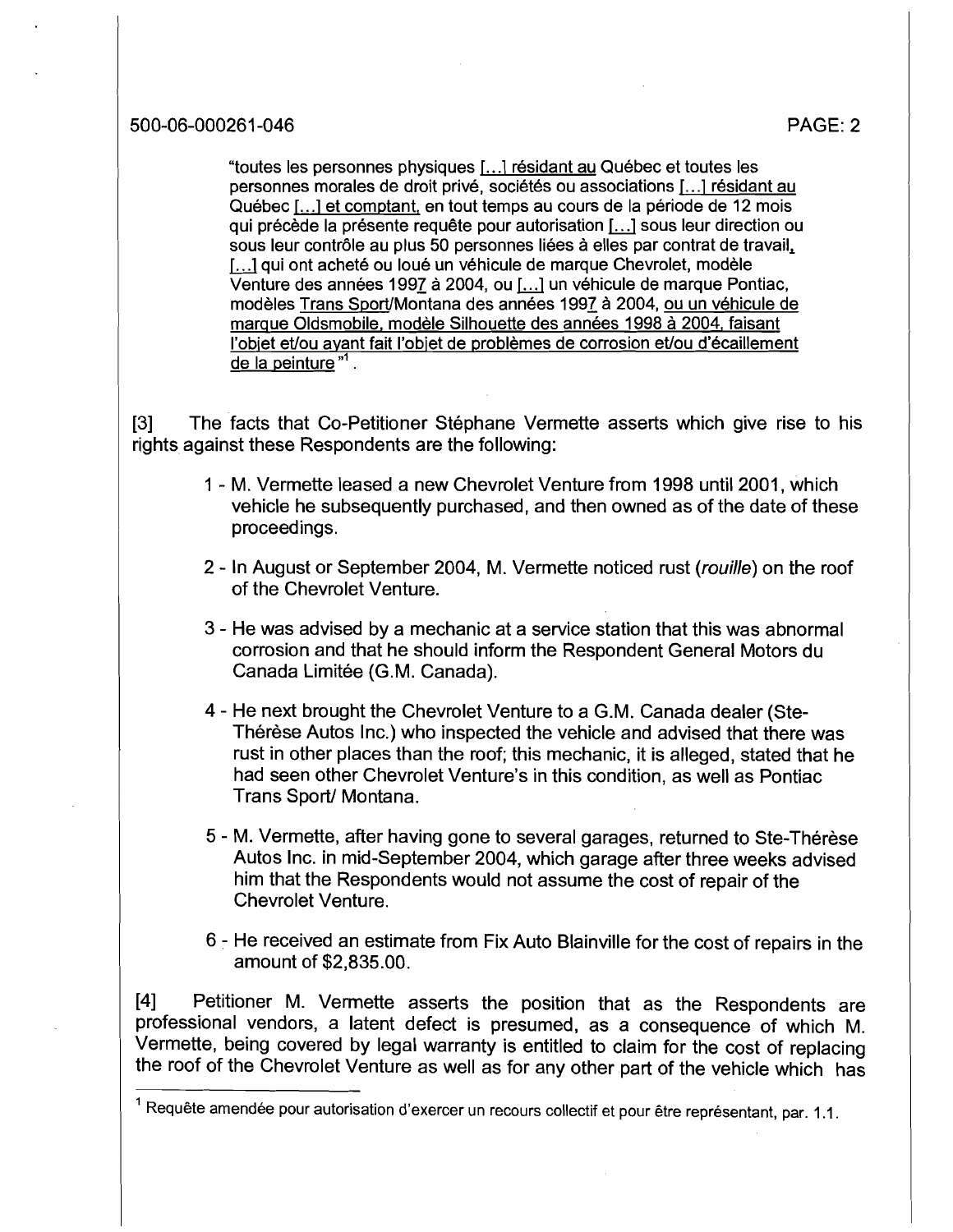"toutes les personnes physiques 1.. .1 residant au Quebec et toutes les personnes morales de droit privé, sociétés ou associations [...] résidant au Québec [...] et comptant, en tout temps au cours de la période de 12 mois qui précède la présente requête pour autorisation [...] sous leur direction ou sous leur contrôle au plus 50 personnes liées à elles par contrat de travail, [...] qui ont acheté ou loué un véhicule de marque Chevrolet, modèle Venture des années 1997 à 2004, ou [...] un véhicule de marque Pontiac. modèles Trans Sport/Montana des années 1997 à 2004, ou un véhicule de marque Oldsmobile, modèle Silhouette des années 1998 à 2004, faisant l'objet et/ou ayant fait l'objet de problèmes de corrosion et/ou d'écaillement de la peinture "' .

[3] The facts that Co-Petitioner Stéphane Vermette asserts which give rise to his rights against these Respondents are the following:

- 1 M. Vermette leased a new Chevrolet Venture from 1998 until 2001, which vehicle he subsequently purchased, and then owned as of the date of these proceedings.
- 2 In August or September 2004, M. Vermette noticed rust (rouille) on the roof of the Chevrolet Venture.
- 3 He was advised by a mechanic at a service station that this was abnormal corrosion and that he should inform the Respondent General Motors du Canada Limitée (G.M. Canada).
- 4 He next brought the Chevrolet Venture to a G.M. Canada dealer (Ste-Thérèse Autos Inc.) who inspected the vehicle and advised that there was rust in other places than the roof; this mechanic, it is alleged, stated that he had seen other Chevrolet Venture's in this condition, as well as Pontiac Trans Sport/ Montana.
- 5 M. Vermette, after having gone to several garages, returned to Ste-Thérèse Autos Inc. in mid-September 2004, which garage after three weeks advised him that the Respondents would not assume the cost of repair of the Chevrolet Venture.
- 6 He received an estimate from Fix Auto Blainville for the cost of repairs in the amount of \$2,835.00.

[4] Petitioner M. Vermette asserts the position that as the Respondents are professional vendors, a latent defect is presumed, as a consequence of which M. Vermette, being covered by legal warranty is entitled to claim for the cost of replacing the roof of the Chevrolet Venture as well as for any other part of the vehicle which has

<sup>&</sup>lt;sup>1</sup> Requête amendée pour autorisation d'exercer un recours collectif et pour être représentant, par. 1.1.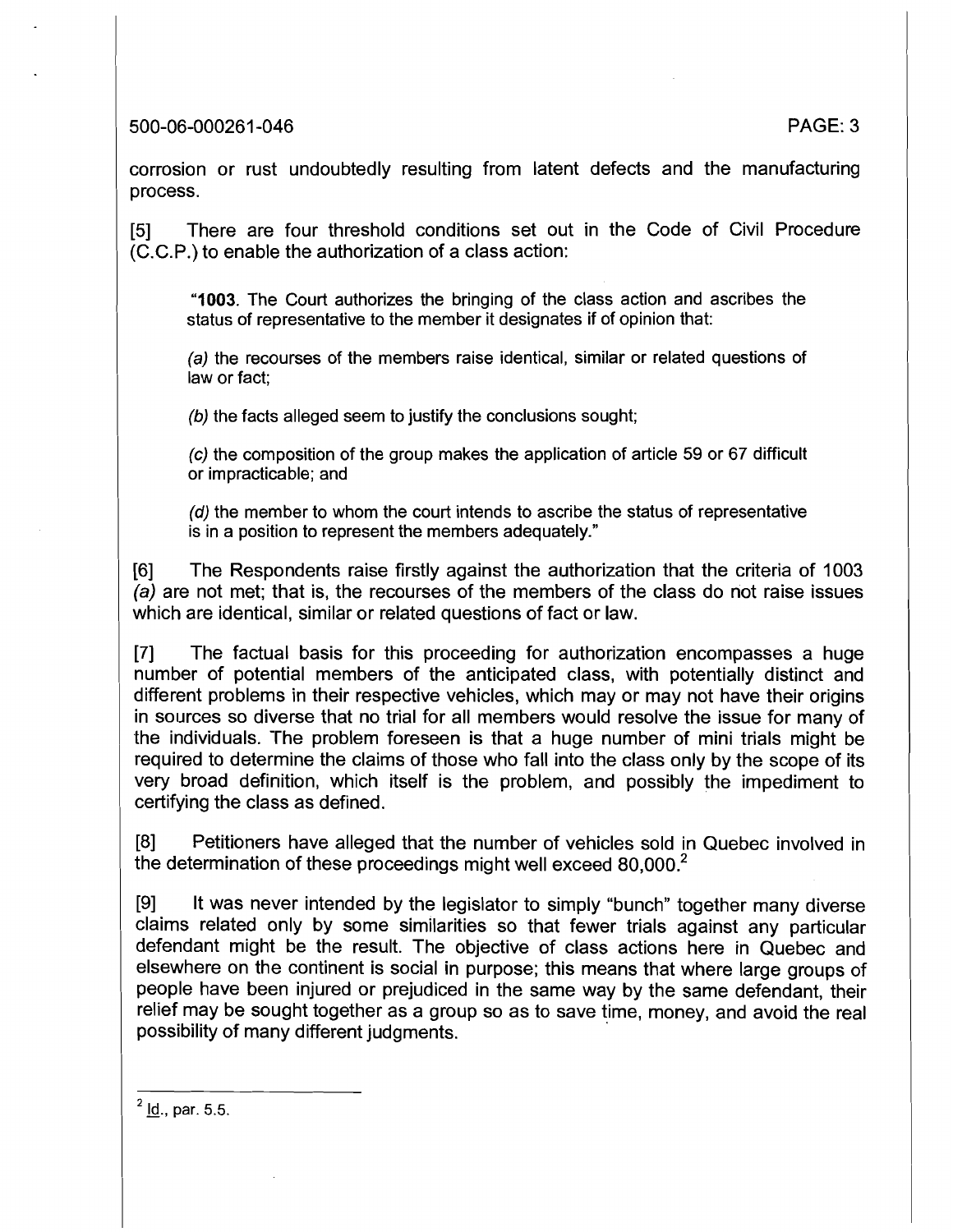500-06-000261 -046 PAGE: 3

corrosion or rust undoubtedly resulting from latent defects and the manufacturing process.

[5] There are four threshold conditions set out in the Code of Civil Procedure (C.C.P.) to enable the authorization of a class action:

**"1003.** The Court authorizes the bringing of the class action and ascribes the status of representative to the member it designates if of opinion that:

(a) the recourses of the members raise identical, similar or related questions of law or fact;

**(b)** the facts alleged seem to justify the conclusions sought;

**(c)** the composition of the group makes the application of article 59 or 67 difficult or impracticable; and

**(d)** the member to whom the court intends to ascribe the status of representative is in a position to represent the members adequately."

[6] The Respondents raise firstly against the authorization that the criteria of 1003 (a) are not met; that is, the recourses of the members of the class do not raise issues which are identical, similar or related questions of fact or law.

[7] The factual basis for this proceeding for authorization encompasses a huge number of potential members of the anticipated class, with potentially distinct and different problems in their respective vehicles, which may or may not have their origins in sources so diverse that no trial for all members would resolve the issue for many of the individuals. The problem foreseen is that a huge number of mini trials might be required to determine the claims of those who fall into the class only by the scope of its very broad defirrition, which itself is the problem, and possibly the impediment to certifying the class as defined.

[8] Petitioners have alleged that the number of vehicles sold in Quebec involved in the determination of these proceedings might well exceed  $80,000<sup>2</sup>$ 

[9] It was never intended by the legislator to simply "bunch" together many diverse claims related only by some similarities so that fewer trials against any particular defendant might be the result. The objective of class actions here in Quebec and elsewhere on the continent is social in purpose; this means that where large groups of people have been injured or prejudiced in the same way by the same defendant, their relief may be sought together as a group so as to save time, money, and avoid the real possibility of many different judgments.

 $^{2}$  ld., par. 5.5.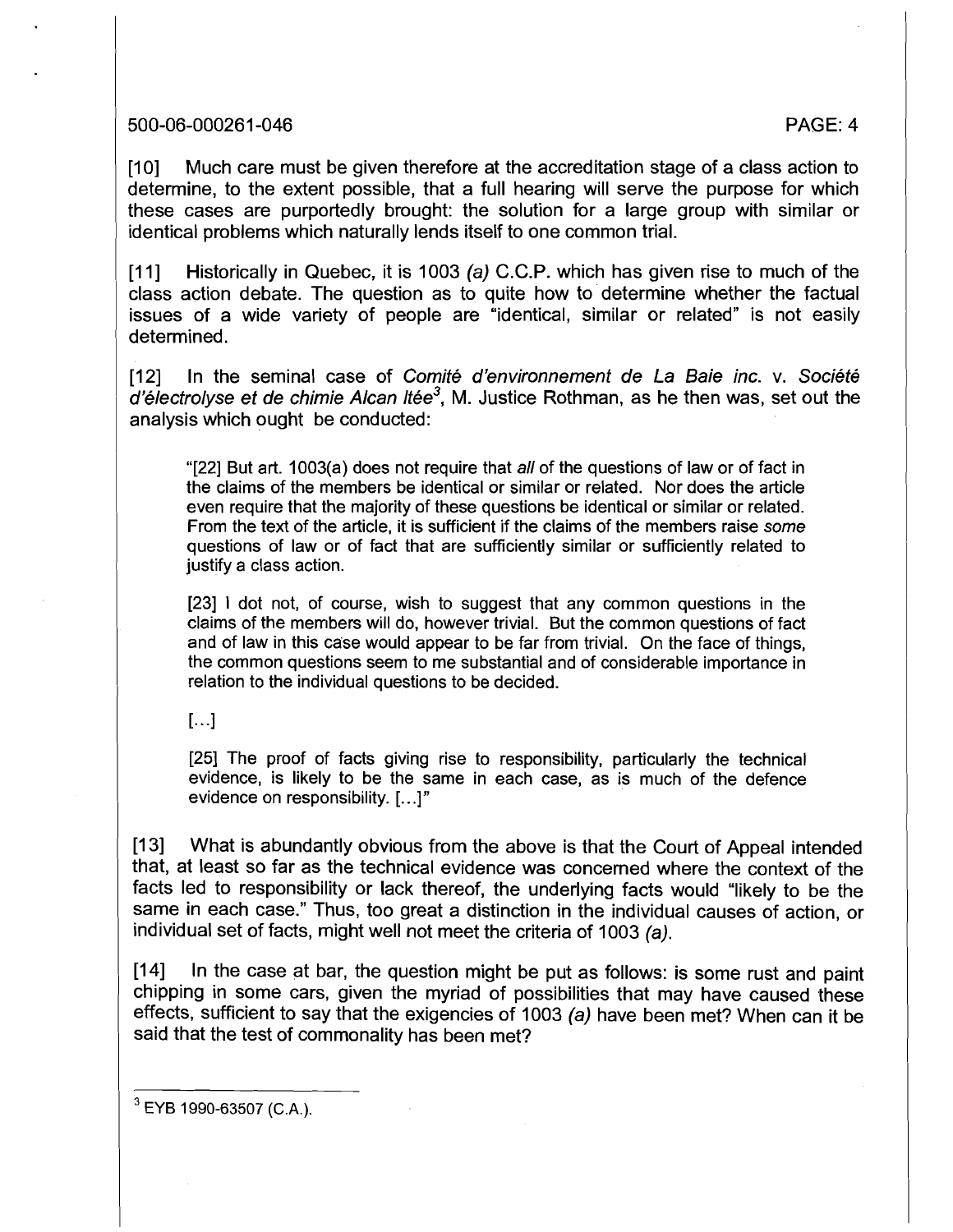#### 500-06-000261 -046 PAGE: 4

[10] Much care must be given therefore at the accreditation stage of a class action to determine, to the extent possible, that a full hearing will serve the purpose for which these cases are purportedly brought: the solution for a large group with similar or identical problems which naturally lends itself to one common trial.

[11] Historically in Quebec, it is 1003 (a) C.C.P. which has given rise to much of the class action debate. The question as to quite how to determine whether the factual issues of a wide variety of people are "identical, similar or related" is not easily determined.

[12] In the seminal case of Comité d'environnement de La Baie inc. v. Société  $d'$ électrolyse et de chimie Alcan Itée<sup>3</sup>, M. Justice Rothman, as he then was, set out the analysis which ought be conducted:

"[22] But art. 1003(a) does not require that all of the questions of law or of fact in the claims of the members be identical or similar or related. Nor does the article even require that the majority of these questions be identical or similar or related. From the text of the article, it is sufficient if the claims of the members raise some questions of law or of fact that are sufficiently similar or sufficiently related to justify a class action.

[23] 1 dot not, of course, wish to suggest that any common questions in the claims of the members will do, however trivial. But the common questions of fact and of law in this case would appear to be far from trivial. On the face of things, the common questions seem to me substantial and of considerable importance in relation to the individual questions to be decided.

 $\left[\ldots\right]$ 

[25] The proof of facts giving rise to responsibility, particularly the technical evidence, is likely to be the same in each case, as is much of the defence evidence on responsibility. [...I"

[13] What is abundantly obvious from the above is that the Court of Appeal intended that, at least so far as the technical evidence was concerned where the context of the facts led to responsibility or lack thereof, the underlying facts would "likely to be the same in each case." Thus, too great a distinction in the individual causes of action, or individual set of facts, might well not meet the criteria of 1003 (a).

[I41 In the case at bar, the question might be put as follows: is some rust and paint chipping in some cars, given the myriad of possibilities that may have caused these effects, sufficient to say that the exigencies of 1003 (a) have been met? When can it be said that the test of commonality has been met?

**<sup>3</sup>**EYB **1990-63507 (C.A.).**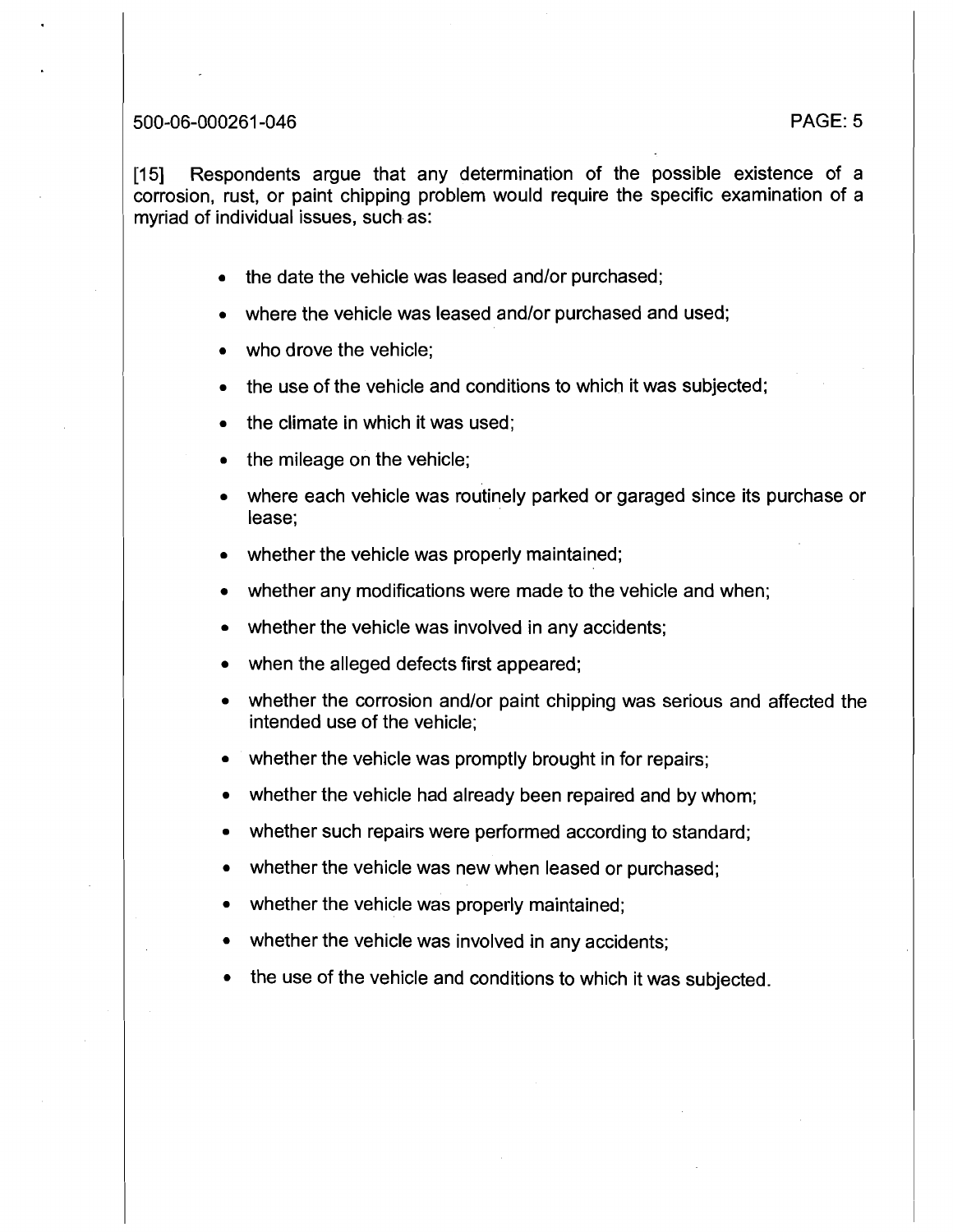#### 500-06-000261-046

1151 Respondents argue that any determination of the possible existence of a corrosion, rust, or paint chipping problem would require the specific examination of a myriad of individual issues, such as:

- the date the vehicle was leased and/or purchased;
- where the vehicle was leased and/or purchased and used;
- who drove the vehicle;
- the use of the vehicle and conditions to which it was subjected;
- the climate in which it was used;
- the mileage on the vehicle;
- where each vehicle was routinely parked or garaged since its purchase or lease;
- whether the vehicle was properly maintained;
- whether any modifications were made to the vehicle and when;
- whether the vehicle was involved in any accidents;
- when the alleged defects first appeared;
- whether the corrosion and/or paint chipping was serious and affected the intended use of the vehicle;
- whether the vehicle was promptly brought in for repairs;
- whether the vehicle had already been repaired and by whom;
- whether such repairs were performed according to standard;
- whether the vehicle was new when leased or purchased;
- whether the vehicle was properly maintained:
- whether the vehicle was involved in any accidents;
- the use of the vehicle and conditions to which it was subjected.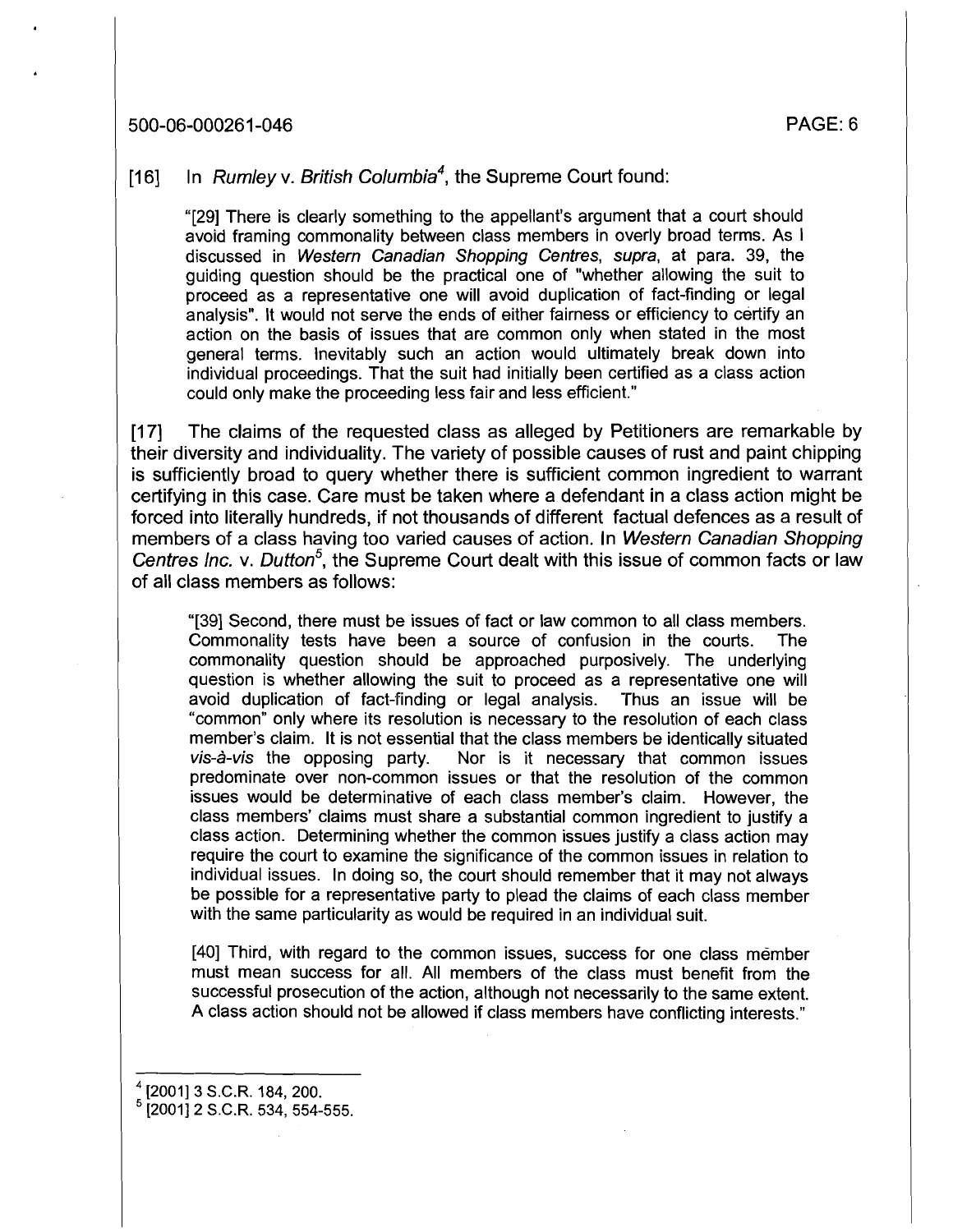## 500-06-000261 -046 PAGE: 6

## [16] In Rumley v. British Columbia<sup>4</sup>, the Supreme Court found:

"[29] There is clearly something to the appellant's argument that a court should avoid framing commonality between class members in overly broad terms. As I discussed in Western Canadian Shopping Centres, supra, at para. 39, the guiding question should be the practical one of "whether allowing the suit to proceed as a representative one will avoid duplication of fact-finding or legal analysis". It would not serve the ends of either fairness or efficiency to certify an action on the basis of issues that are common only when stated in the most general terms. Inevitably such an action would ultimately break down into individual proceedings. That the suit had initially been certified as a class action could only make the proceeding less fair and less efficient."

[17] The claims of the requested class as alleged by Petitioners are remarkable by their diversity and individuality. The variety of possible causes of rust and paint chipping is sufficiently broad to query whether there is sufficient common ingredient to warrant certifying in this case. Care must be taken where a defendant in a class action might be forced into literally hundreds, if not thousands of different factual defences as a result of members of a class having too varied causes of action. In Western Canadian Shopping Centres Inc. v. Dutton<sup>5</sup>, the Supreme Court dealt with this issue of common facts or law of all class members as follows:

"[39] Second, there must be issues of fact or law common to all class members. Commonality tests have been a source of confusion in the courts. The commonality question should be approached purposively. The underlying question is whether allowing the suit to proceed as a representative one will avoid duplication of fact-finding or legal analysis. Thus an issue will be "common" only where its resolution is necessary to the resolution of each class member's claim. It is not essential that the class members be identically situated  $vis-\hat{a}-vis$  the opposing party. Nor is it necessary that common issues predominate over non-common issues or that the resolution of the common issues would be determinative of each class member's claim. However, the class members' claims must share a substantial common ingredient to justify a class action. Determining whether the common issues justify a class action may require the court to examine the significance of the common issues in relation to individual issues. In doing so, the court should remember that it may not always be possible for a representative party to plead the claims of each class member with the same particularity as would be required in an individual suit.

[40] Third, with regard to the common issues, success for one class member must mean success for all. All members of the class must benefit from the successful prosecution of the action, although not necessarily to the same extent. A class action should not be allowed if class members have conflicting interests."

 $(2001]$  3 S.C.R. 184, 200.

 $<sup>5</sup>$  [2001] 2 S.C.R. 534, 554-555.</sup>